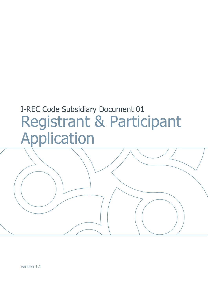# I-REC Code Subsidiary Document 01 Registrant & Participant Application

version 1.1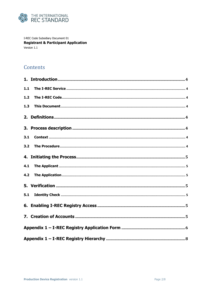

I-REC Code Subsidiary Document 01 **Registrant & Participant Application** Version 1.1

## Contents

| 1.1 |  |
|-----|--|
| 1.2 |  |
| 1.3 |  |
|     |  |
|     |  |
| 3.1 |  |
| 3.2 |  |
|     |  |
| 4.1 |  |
| 4.2 |  |
|     |  |
| 5.1 |  |
|     |  |
|     |  |
|     |  |
|     |  |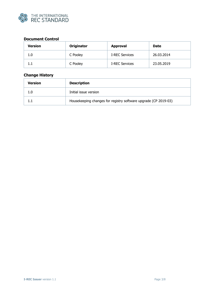

### **Document Control**

| <b>Version</b> | Originator<br><b>Approval</b> |                       | <b>Date</b> |
|----------------|-------------------------------|-----------------------|-------------|
| 1.0            | C Pooley                      | <b>I-REC Services</b> | 26.03.2014  |
| 1.1            | C Pooley                      | <b>I-REC Services</b> | 23.05.2019  |

## **Change History**

| <b>Description</b><br>Version |                                                                 |
|-------------------------------|-----------------------------------------------------------------|
| 1.0                           | Initial issue version                                           |
|                               | Housekeeping changes for registry software upgrade (CP 2019-03) |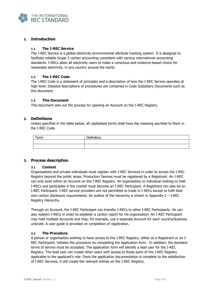

#### <span id="page-3-0"></span>**1. Introduction**

#### <span id="page-3-1"></span>**1.1 The I-REC Service**

The I-REC Service is a global electricity environmental attribute tracking system. It is designed to facilitate reliable Scope 2 carbon accounting consistent with various international accounting standards. I-RECs allow all electricity users to make a conscious and evidence-based choice for renewable electricity, in any country around the world.

#### <span id="page-3-2"></span>**1.2 The I-REC Code**

The I-REC Code is a statement of principles and a description of how the I-REC Service operates at high level. Detailed descriptions of procedures are contained in Code Subsidiary Documents such as this document.

#### <span id="page-3-3"></span>**1.3 This Document**

This document sets out the process for opening an Account on the I-REC Registry.

#### <span id="page-3-4"></span>**2. Definitions**

Unless specified in the table below, all capitalised terms shall have the meaning ascribed to them in the I-REC Code.

| Term | Definition<br>enniuon<br>ຼ |
|------|----------------------------|
|      |                            |
|      |                            |

#### <span id="page-3-6"></span><span id="page-3-5"></span>**3. Process description**

#### **3.1 Context**

Organisations and private individuals must register with I-REC Services in order to access the I-REC Registry beyond the public areas. Production Devices must be registered by a Registrant. An I-REC can only exist within an Account on the I-REC Registry. An organisation or individual wishing to hold I-RECs and participate in the market must become an I-REC Participant. A Registrant can also be an I-REC Participant. I-REC service providers are not permitted to trade in I-RECs except to fulfil their own carbon disclosure requirements. An outline of the hierarchy is shown in Appendix  $2 - I$ -REC Registry Hierarchy.

Through an Account, the I-REC Participant can transfer I-RECs to other I-REC Participants. He can also redeem I-RECs in order to establish a carbon report for his organisation. An I-REC Participant may hold multiple Accounts and may, for example, use a separate Account for each country/business unit/site. A user guide is provided on completion of registration.

#### <span id="page-3-7"></span>**3.2 The Procedure**

A person or organisation wishing to have access to the I-REC Registry, either as a Registrant or an I-REC Participant, initiates the procedure by completing the application form. In addition, the standard terms of service must be accepted. The application form will identify a lead user for the I-REC Registry. The lead user can create other users with access to those parts of the I-REC Registry applicable to the applicant's role. Once the application documentation is complete to the satisfaction of I-REC Services, it will create the relevant entries on the I-REC Registry.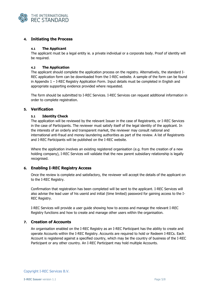

#### <span id="page-4-0"></span>**4. Initiating the Process**

#### <span id="page-4-1"></span>**4.1 The Applicant**

The applicant must be a legal entity ie. a private individual or a corporate body. Proof of identity will be required.

#### <span id="page-4-2"></span>**4.2 The Application**

The applicant should complete the application process on the registry. Alternatively, the standard I-REC application form can be downloaded from the I-REC website. A sample of the form can be found in Appendix  $1 - I$ -REC Registry Application Form. Input details must be completed in English and appropriate supporting evidence provided where requested.

The form should be submitted to I-REC Services. I-REC Services can request additional information in order to complete registration.

#### <span id="page-4-4"></span><span id="page-4-3"></span>**5. Verification**

#### **5.1 Identity Check**

The application will be reviewed by the relevant Issuer in the case of Registrants, or I-REC Services in the case of Participants. The reviewer must satisfy itself of the legal identity of the applicant. In the interests of an orderly and transparent market, the reviewer may consult national and international anti-fraud and money laundering authorities as part of the review. A list of Registrants and I-REC Participants will be published on the I-REC website.

Where the application involves an existing registered organisation (e.g. from the creation of a new holding company), I-REC Services will validate that the new parent subsidiary relationship is legally recognised.

#### <span id="page-4-5"></span>**6. Enabling I-REC Registry Access**

Once the review is complete and satisfactory, the reviewer will accept the details of the applicant on to the I-REC Registry.

Confirmation that registration has been completed will be sent to the applicant. I-REC Services will also advise the lead user of his userid and initial (time limited) password for gaining access to the I-REC Registry.

I-REC Services will provide a user guide showing how to access and manage the relevant I-REC Registry functions and how to create and manage other users within the organisation.

#### <span id="page-4-6"></span>**7. Creation of Accounts**

An organisation enabled on the I-REC Registry as an I-REC Participant has the ability to create and operate Accounts within the I-REC Registry. Accounts are required to hold or Redeem I-RECs. Each Account is registered against a specified country, which may be the country of business of the I-REC Participant or any other country. An I-REC Participant may hold multiple Accounts.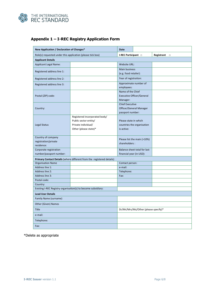

| New Application / Declaration of Changes*                     |                                                                                                        | <b>Date</b>                                                           |                              |                      |
|---------------------------------------------------------------|--------------------------------------------------------------------------------------------------------|-----------------------------------------------------------------------|------------------------------|----------------------|
| Role(s) requested under this application (please tick box)    |                                                                                                        | I-REC Participant $\Box$                                              |                              | Registrant $\square$ |
| <b>Applicant Details</b>                                      |                                                                                                        |                                                                       |                              |                      |
| <b>Applicant Legal Name:</b>                                  |                                                                                                        | <b>Website URL:</b>                                                   |                              |                      |
| Registered address line 1:                                    |                                                                                                        | <b>Main business</b><br>(e.g. food retailer):                         |                              |                      |
| Registered address line 2:                                    |                                                                                                        | Year of registration:                                                 |                              |                      |
| Registered address line 3:                                    |                                                                                                        | employees:                                                            | Approximate number of        |                      |
| Postal (ZIP) code:                                            |                                                                                                        | Name of the Chief<br><b>Executive Officer/General</b><br>Manager:     |                              |                      |
| Country:                                                      |                                                                                                        | <b>Chief Executive</b><br>Officer/General Manager<br>passport number: |                              |                      |
| Legal Status                                                  | Registered incorporated body/<br>Public sector entity/<br>Private individual/<br>Other (please state)* | Please state in which<br>is active:                                   | countries the organisation   |                      |
| Country of company                                            |                                                                                                        |                                                                       |                              |                      |
| registration/private<br>residence:                            |                                                                                                        | Please list the main (>10%)<br>shareholders:                          |                              |                      |
| Corporate registration<br>number/passport number:             |                                                                                                        | financial year (in USD):                                              | Balance sheet total for last |                      |
|                                                               | Primary Contact Details (where different from the registered details)                                  |                                                                       |                              |                      |
| <b>Organisation Name</b>                                      |                                                                                                        | Contact person:                                                       |                              |                      |
| Address line 1:                                               |                                                                                                        | e-mail:                                                               |                              |                      |
| Address line 2:                                               |                                                                                                        | Telephone:                                                            |                              |                      |
| <b>Address line 3:</b>                                        |                                                                                                        | Fax:                                                                  |                              |                      |
| Postal code:                                                  |                                                                                                        |                                                                       |                              |                      |
| Country:                                                      |                                                                                                        |                                                                       |                              |                      |
| Existing I-REC Registry organisation(s) to become subsidiary: |                                                                                                        |                                                                       |                              |                      |
| <b>Lead User Details</b>                                      |                                                                                                        |                                                                       |                              |                      |
| Family Name (surname)                                         |                                                                                                        |                                                                       |                              |                      |
| Other (Given) Names                                           |                                                                                                        |                                                                       |                              |                      |
| <b>Title</b>                                                  | Dr/Mr/Mrs/Ms/Other (please specify)*                                                                   |                                                                       |                              |                      |
| e-mail:                                                       |                                                                                                        |                                                                       |                              |                      |
| Telephone:                                                    |                                                                                                        |                                                                       |                              |                      |
| Fax:                                                          |                                                                                                        |                                                                       |                              |                      |

## <span id="page-5-0"></span>**Appendix 1 – I-REC Registry Application Form**

\*Delete as appropriate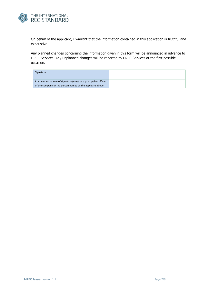

On behalf of the applicant, I warrant that the information contained in this application is truthful and exhaustive.

Any planned changes concerning the information given in this form will be announced in advance to I-REC Services. Any unplanned changes will be reported to I-REC Services at the first possible occasion.

| Signature                                                        |  |
|------------------------------------------------------------------|--|
|                                                                  |  |
| Print name and role of signatory (must be a principal or officer |  |
| of the company or the person named as the applicant above)       |  |